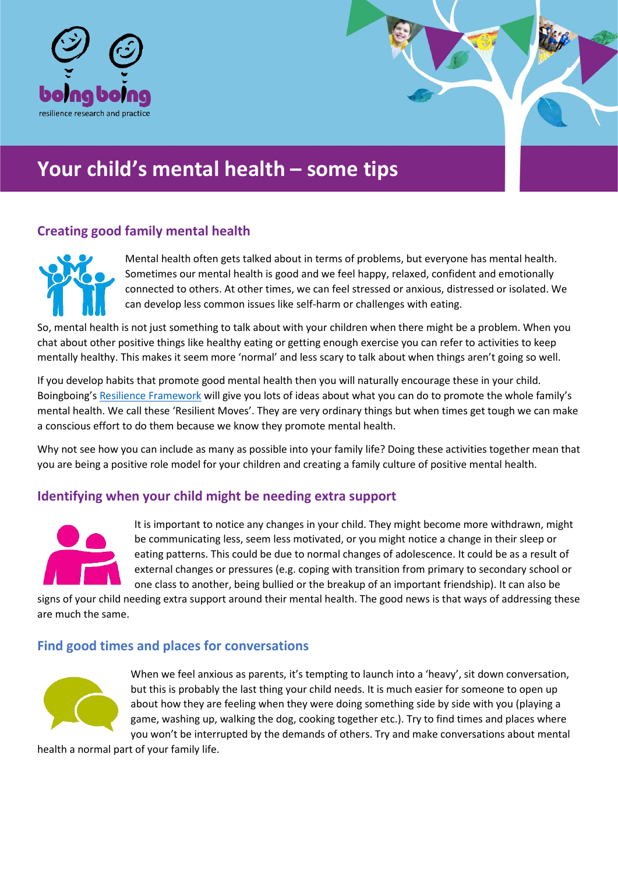

# **Your child's mental health – some tips**

# **Creating good family mental health**



Mental health often gets talked about in terms of problems, but everyone has mental health. Sometimes our mental health is good and we feel happy, relaxed, confident and emotionally connected to others. At other times, we can feel stressed or anxious, distressed or isolated. We can develop less common issues like self-harm or challenges with eating.

So, mental health is not just something to talk about with your children when there might be a problem. When you chat about other positive things like healthy eating or getting enough exercise you can refer to activities to keep mentally healthy. This makes it seem more 'normal' and less scary to talk about when things aren't going so well.

If you develop habits that promote good mental health then you will naturally encourage these in your child. Boingboing's [Resilience Framework](https://www.boingboing.org.uk/resilience/resilient-therapy-resilience-framework/) will give you lots of ideas about what you can do to promote the whole family's mental health. We call these 'Resilient Moves'. They are very ordinary things but when times get tough we can make a conscious effort to do them because we know they promote mental health.

Why not see how you can include as many as possible into your family life? Doing these activities together mean that you are being a positive role model for your children and creating a family culture of positive mental health.

# **Identifying when your child might be needing extra support**



It is important to notice any changes in your child. They might become more withdrawn, might be communicating less, seem less motivated, or you might notice a change in their sleep or eating patterns. This could be due to normal changes of adolescence. It could be as a result of external changes or pressures (e.g. coping with transition from primary to secondary school or one class to another, being bullied or the breakup of an important friendship). It can also be

signs of your child needing extra support around their mental health. The good news is that ways of addressing these are much the same.

# **Find good times and places for conversations**



When we feel anxious as parents, it's tempting to launch into a 'heavy', sit down conversation, but this is probably the last thing your child needs. It is much easier for someone to open up about how they are feeling when they were doing something side by side with you (playing a game, washing up, walking the dog, cooking together etc.). Try to find times and places where you won't be interrupted by the demands of others. Try and make conversations about mental

health a normal part of your family life.